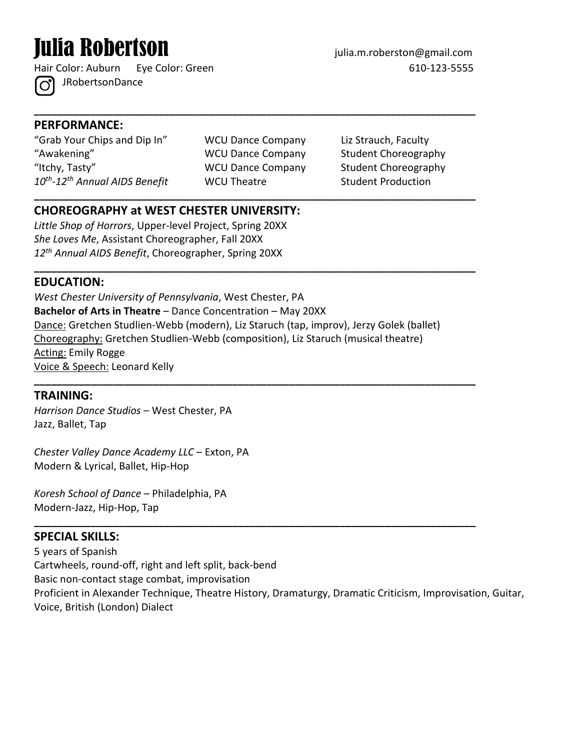# Julia Robertson and Sulia.m.roberston@gmail.com

 $\mathcal{C}$ 

JRobertsonDance

#### **PERFORMANCE:**

"Grab Your Chips and Dip In" WCU Dance Company Liz Strauch, Faculty "Awakening" WCU Dance Company Student Choreography "Itchy, Tasty" WCU Dance Company Student Choreography 10<sup>th</sup>-12<sup>th</sup> Annual AIDS Benefit WCU Theatre Student Production

**\_\_\_\_\_\_\_\_\_\_\_\_\_\_\_\_\_\_\_\_\_\_\_\_\_\_\_\_\_\_\_\_\_\_\_\_\_\_\_\_\_\_\_\_\_\_\_\_\_\_\_\_\_\_\_\_\_\_\_\_\_\_\_\_\_\_\_\_\_\_\_\_\_\_\_\_\_\_**

**\_\_\_\_\_\_\_\_\_\_\_\_\_\_\_\_\_\_\_\_\_\_\_\_\_\_\_\_\_\_\_\_\_\_\_\_\_\_\_\_\_\_\_\_\_\_\_\_\_\_\_\_\_\_\_\_\_\_\_\_\_\_\_\_\_\_\_\_\_\_\_\_\_\_\_\_\_\_**

**\_\_\_\_\_\_\_\_\_\_\_\_\_\_\_\_\_\_\_\_\_\_\_\_\_\_\_\_\_\_\_\_\_\_\_\_\_\_\_\_\_\_\_\_\_\_\_\_\_\_\_\_\_\_\_\_\_\_\_\_\_\_\_\_\_\_\_\_\_\_\_\_\_\_\_\_\_\_**

**\_\_\_\_\_\_\_\_\_\_\_\_\_\_\_\_\_\_\_\_\_\_\_\_\_\_\_\_\_\_\_\_\_\_\_\_\_\_\_\_\_\_\_\_\_\_\_\_\_\_\_\_\_\_\_\_\_\_\_\_\_\_\_\_\_\_\_\_\_\_\_\_\_\_\_\_\_\_**

**\_\_\_\_\_\_\_\_\_\_\_\_\_\_\_\_\_\_\_\_\_\_\_\_\_\_\_\_\_\_\_\_\_\_\_\_\_\_\_\_\_\_\_\_\_\_\_\_\_\_\_\_\_\_\_\_\_\_\_\_\_\_\_\_\_\_\_\_\_\_\_\_\_\_\_\_\_\_**

## **CHOREOGRAPHY at WEST CHESTER UNIVERSITY:**

*Little Shop of Horrors*, Upper-level Project, Spring 20XX *She Loves Me*, Assistant Choreographer, Fall 20XX *12th Annual AIDS Benefit*, Choreographer, Spring 20XX

#### **EDUCATION:**

*West Chester University of Pennsylvania*, West Chester, PA **Bachelor of Arts in Theatre** – Dance Concentration – May 20XX Dance: Gretchen Studlien-Webb (modern), Liz Staruch (tap, improv), Jerzy Golek (ballet) Choreography: Gretchen Studlien-Webb (composition), Liz Staruch (musical theatre) Acting: Emily Rogge Voice & Speech: Leonard Kelly

#### **TRAINING:**

*Harrison Dance Studios* – West Chester, PA Jazz, Ballet, Tap

*Chester Valley Dance Academy LLC* – Exton, PA Modern & Lyrical, Ballet, Hip-Hop

*Koresh School of Dance* – Philadelphia, PA Modern-Jazz, Hip-Hop, Tap

#### **SPECIAL SKILLS:**

5 years of Spanish Cartwheels, round-off, right and left split, back-bend Basic non-contact stage combat, improvisation Proficient in Alexander Technique, Theatre History, Dramaturgy, Dramatic Criticism, Improvisation, Guitar, Voice, British (London) Dialect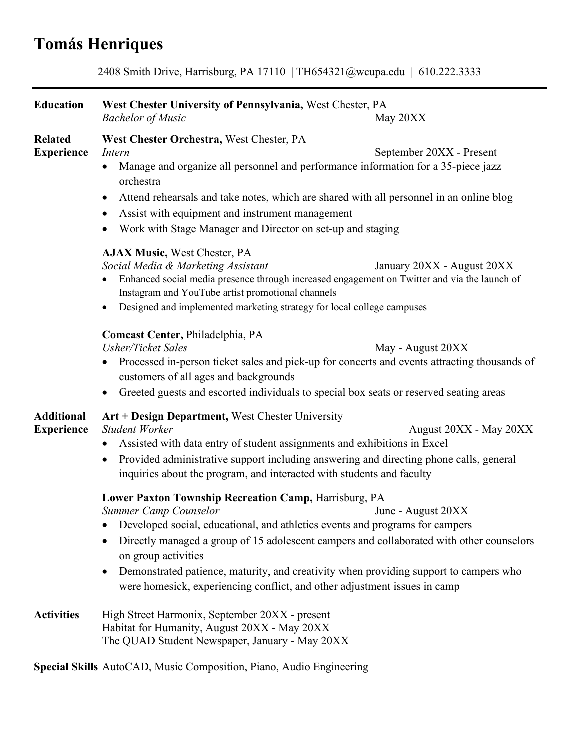# **Tomás Henriques**

2408 Smith Drive, Harrisburg, PA 17110 | TH654321@wcupa.edu |610.222.3333

**Education West Chester University of Pennsylvania,** West Chester, PA *Bachelor of Music* May 20XX

**Related West Chester Orchestra,** West Chester, PA

**Experience** *Intern* September 20XX - Present

- Manage and organize all personnel and performance information for a 35-piece jazz orchestra
- Attend rehearsals and take notes, which are shared with all personnel in an online blog
- Assist with equipment and instrument management
- Work with Stage Manager and Director on set-up and staging

#### **AJAX Music,** West Chester, PA

*Social Media & Marketing Assistant* January 20XX - August 20XX

- Enhanced social media presence through increased engagement on Twitter and via the launch of Instagram and YouTube artist promotional channels
- Designed and implemented marketing strategy for local college campuses

#### **Comcast Center,** Philadelphia, PA

*Usher/Ticket Sales* May - August 20XX

- Processed in-person ticket sales and pick-up for concerts and events attracting thousands of customers of all ages and backgrounds
- Greeted guests and escorted individuals to special box seats or reserved seating areas

#### **Additional Art + Design Department,** West Chester University

**Experience** *Student Worker* **August 20XX - May 20XX** 

- Assisted with data entry of student assignments and exhibitions in Excel
- Provided administrative support including answering and directing phone calls, general inquiries about the program, and interacted with students and faculty

#### **Lower Paxton Township Recreation Camp,** Harrisburg, PA

*Summer Camp Counselor*  $June - August 20XX$ 

- Developed social, educational, and athletics events and programs for campers
- Directly managed a group of 15 adolescent campers and collaborated with other counselors on group activities
- Demonstrated patience, maturity, and creativity when providing support to campers who were homesick, experiencing conflict, and other adjustment issues in camp
- Activities High Street Harmonix, September 20XX present Habitat for Humanity, August 20XX - May 20XX The QUAD Student Newspaper, January - May 20XX

**Special Skills** AutoCAD, Music Composition, Piano, Audio Engineering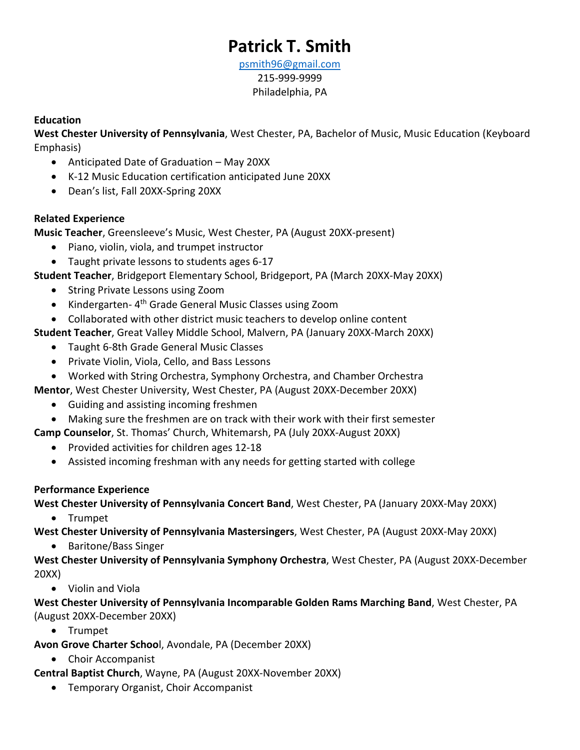# **Patrick T. Smith**

[psmith96@gmail.com](mailto:psmith96@gmail.com) 215-999-9999 Philadelphia, PA

#### **Education**

**West Chester University of Pennsylvania**, West Chester, PA, Bachelor of Music, Music Education (Keyboard Emphasis)

- Anticipated Date of Graduation May 20XX
- K-12 Music Education certification anticipated June 20XX
- Dean's list, Fall 20XX-Spring 20XX

#### **Related Experience**

**Music Teacher**, Greensleeve's Music, West Chester, PA (August 20XX-present)

- Piano, violin, viola, and trumpet instructor
- Taught private lessons to students ages 6-17

#### **Student Teacher**, Bridgeport Elementary School, Bridgeport, PA (March 20XX-May 20XX)

- String Private Lessons using Zoom
- Kindergarten- 4<sup>th</sup> Grade General Music Classes using Zoom
- Collaborated with other district music teachers to develop online content

**Student Teacher**, Great Valley Middle School, Malvern, PA (January 20XX-March 20XX)

- Taught 6-8th Grade General Music Classes
- Private Violin, Viola, Cello, and Bass Lessons
- Worked with String Orchestra, Symphony Orchestra, and Chamber Orchestra

**Mentor**, West Chester University, West Chester, PA (August 20XX-December 20XX)

- Guiding and assisting incoming freshmen
- Making sure the freshmen are on track with their work with their first semester
- **Camp Counselor**, St. Thomas' Church, Whitemarsh, PA (July 20XX-August 20XX)
	- Provided activities for children ages 12-18
	- Assisted incoming freshman with any needs for getting started with college

#### **Performance Experience**

**West Chester University of Pennsylvania Concert Band**, West Chester, PA (January 20XX-May 20XX)

• Trumpet

**West Chester University of Pennsylvania Mastersingers**, West Chester, PA (August 20XX-May 20XX)

• Baritone/Bass Singer

**West Chester University of Pennsylvania Symphony Orchestra**, West Chester, PA (August 20XX-December 20XX)

• Violin and Viola

**West Chester University of Pennsylvania Incomparable Golden Rams Marching Band**, West Chester, PA (August 20XX-December 20XX)

• Trumpet

**Avon Grove Charter Schoo**l, Avondale, PA (December 20XX)

• Choir Accompanist

**Central Baptist Church**, Wayne, PA (August 20XX-November 20XX)

• Temporary Organist, Choir Accompanist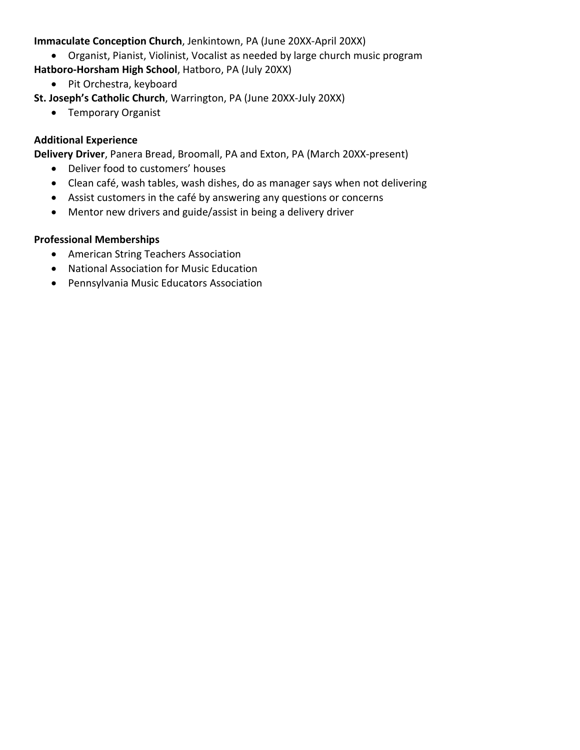#### **Immaculate Conception Church**, Jenkintown, PA (June 20XX-April 20XX)

- Organist, Pianist, Violinist, Vocalist as needed by large church music program **Hatboro-Horsham High School**, Hatboro, PA (July 20XX)
	- Pit Orchestra, keyboard
- **St. Joseph's Catholic Church**, Warrington, PA (June 20XX-July 20XX)
	- Temporary Organist

#### **Additional Experience**

**Delivery Driver**, Panera Bread, Broomall, PA and Exton, PA (March 20XX-present)

- Deliver food to customers' houses
- Clean café, wash tables, wash dishes, do as manager says when not delivering
- Assist customers in the café by answering any questions or concerns
- Mentor new drivers and guide/assist in being a delivery driver

#### **Professional Memberships**

- American String Teachers Association
- National Association for Music Education
- Pennsylvania Music Educators Association